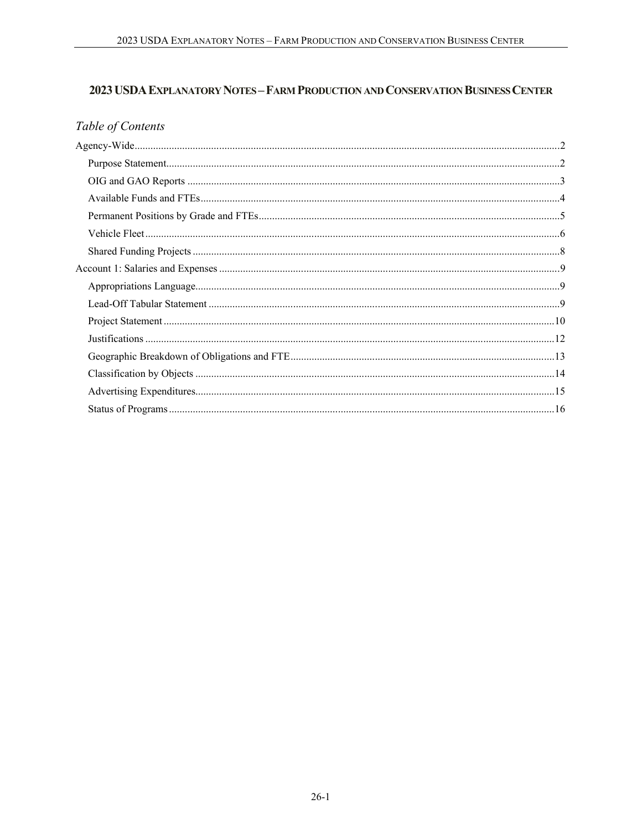# 2023 USDA EXPLANATORY NOTES - FARM PRODUCTION AND CONSERVATION BUSINESS CENTER

# Table of Contents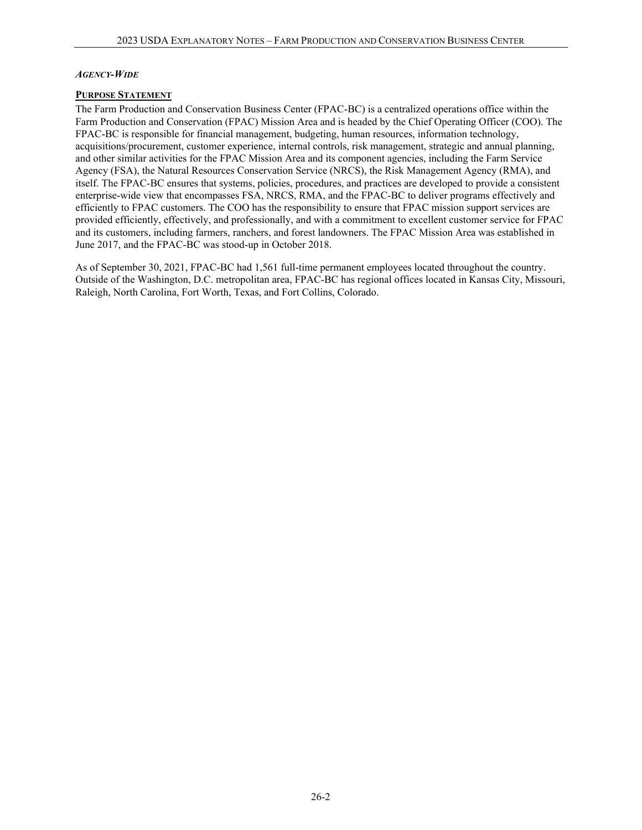#### <span id="page-1-0"></span>*AGENCY-WIDE*

#### <span id="page-1-1"></span>**PURPOSE STATEMENT**

The Farm Production and Conservation Business Center (FPAC-BC) is a centralized operations office within the Farm Production and Conservation (FPAC) Mission Area and is headed by the Chief Operating Officer (COO). The FPAC-BC is responsible for financial management, budgeting, human resources, information technology, acquisitions/procurement, customer experience, internal controls, risk management, strategic and annual planning, and other similar activities for the FPAC Mission Area and its component agencies, including the Farm Service Agency (FSA), the Natural Resources Conservation Service (NRCS), the Risk Management Agency (RMA), and itself. The FPAC-BC ensures that systems, policies, procedures, and practices are developed to provide a consistent enterprise-wide view that encompasses FSA, NRCS, RMA, and the FPAC-BC to deliver programs effectively and efficiently to FPAC customers. The COO has the responsibility to ensure that FPAC mission support services are provided efficiently, effectively, and professionally, and with a commitment to excellent customer service for FPAC and its customers, including farmers, ranchers, and forest landowners. The FPAC Mission Area was established in June 2017, and the FPAC-BC was stood-up in October 2018.

As of September 30, 2021, FPAC-BC had 1,561 full-time permanent employees located throughout the country. Outside of the Washington, D.C. metropolitan area, FPAC-BC has regional offices located in Kansas City, Missouri, Raleigh, North Carolina, Fort Worth, Texas, and Fort Collins, Colorado.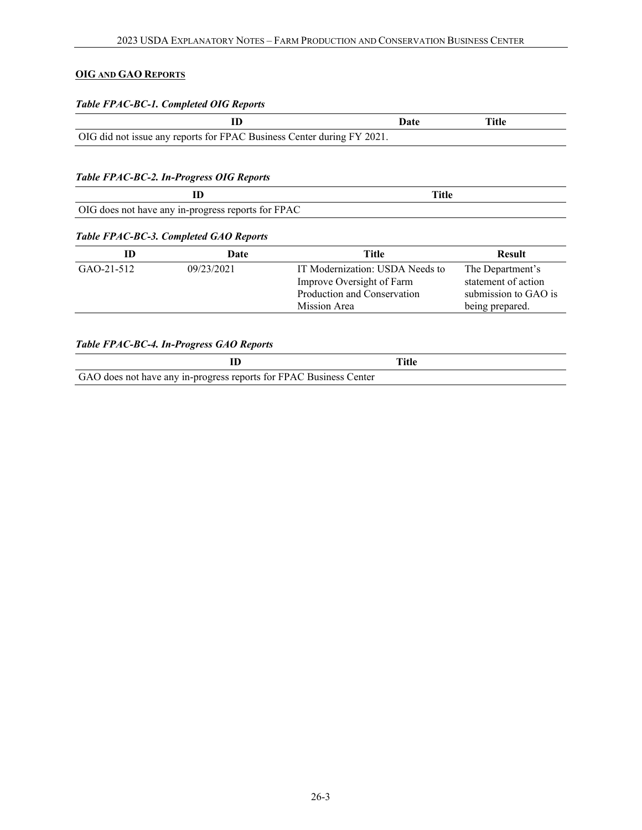# <span id="page-2-0"></span>**OIG AND GAO REPORTS**

## *Table FPAC-BC-1. Completed OIG Reports*

|                                                                        | ')ate | Title |
|------------------------------------------------------------------------|-------|-------|
| OIG did not issue any reports for FPAC Business Center during FY 2021. |       |       |

## *Table FPAC-BC-2. In-Progress OIG Reports*

| OIG does not have any in-progress reports for FPAC |  |
|----------------------------------------------------|--|

### *Table FPAC-BC-3. Completed GAO Reports*

| ID         | Date       | Title                                                                                                       | <b>Result</b>                                                                      |
|------------|------------|-------------------------------------------------------------------------------------------------------------|------------------------------------------------------------------------------------|
| GAO-21-512 | 09/23/2021 | IT Modernization: USDA Needs to<br>Improve Oversight of Farm<br>Production and Conservation<br>Mission Area | The Department's<br>statement of action<br>submission to GAO is<br>being prepared. |

## *Table FPAC-BC-4. In-Progress GAO Reports*

|                                                                    | Title |  |
|--------------------------------------------------------------------|-------|--|
| GAO does not have any in-progress reports for FPAC Business Center |       |  |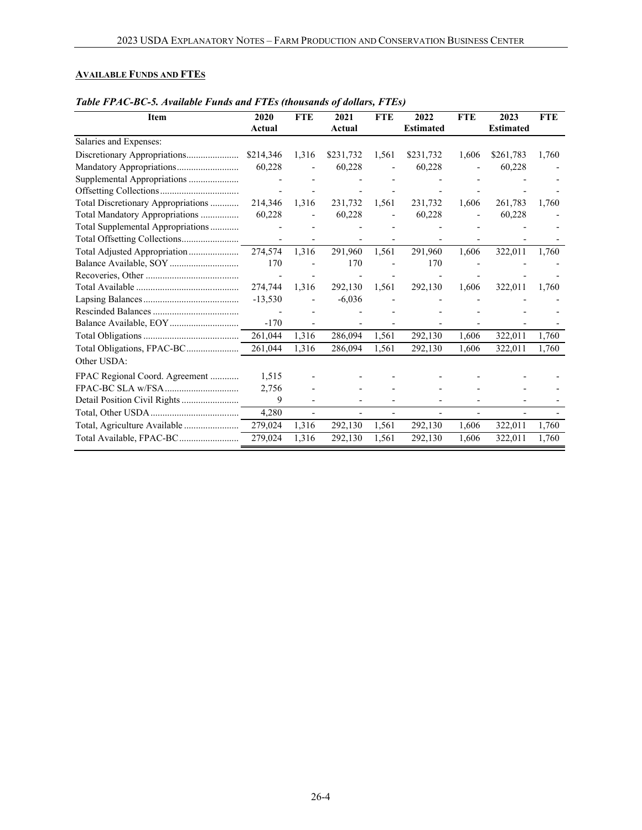### <span id="page-3-0"></span>**AVAILABLE FUNDS AND FTES**

| Item                               | 2020      | <b>FTE</b> | 2021      | <b>FTE</b>               | 2022             | <b>FTE</b> | 2023             | <b>FTE</b> |
|------------------------------------|-----------|------------|-----------|--------------------------|------------------|------------|------------------|------------|
|                                    | Actual    |            | Actual    |                          | <b>Estimated</b> |            | <b>Estimated</b> |            |
| Salaries and Expenses:             |           |            |           |                          |                  |            |                  |            |
| Discretionary Appropriations       | \$214,346 | 1,316      | \$231,732 | 1,561                    | \$231,732        | 1,606      | \$261,783        | 1,760      |
| Mandatory Appropriations           | 60,228    |            | 60,228    |                          | 60,228           |            | 60,228           |            |
| Supplemental Appropriations        |           |            |           |                          |                  |            |                  |            |
|                                    |           |            |           |                          |                  |            |                  |            |
| Total Discretionary Appropriations | 214,346   | 1,316      | 231,732   | 1,561                    | 231,732          | 1,606      | 261,783          | 1,760      |
| Total Mandatory Appropriations     | 60,228    |            | 60,228    | $\overline{\phantom{a}}$ | 60,228           |            | 60,228           |            |
| Total Supplemental Appropriations  |           |            |           |                          |                  |            |                  |            |
| Total Offsetting Collections       |           |            |           |                          |                  |            |                  |            |
| Total Adjusted Appropriation       | 274,574   | 1,316      | 291,960   | 1,561                    | 291,960          | 1,606      | 322,011          | 1,760      |
|                                    | 170       |            | 170       |                          | 170              |            |                  |            |
|                                    |           |            |           |                          |                  |            |                  |            |
|                                    | 274,744   | 1,316      | 292,130   | 1,561                    | 292,130          | 1,606      | 322,011          | 1,760      |
|                                    | $-13,530$ |            | $-6,036$  |                          |                  |            |                  |            |
|                                    |           |            |           |                          |                  |            |                  |            |
|                                    | $-170$    |            |           |                          |                  |            |                  |            |
|                                    | 261,044   | 1,316      | 286,094   | 1,561                    | 292,130          | 1,606      | 322,011          | 1,760      |
| Total Obligations, FPAC-BC         | 261,044   | 1,316      | 286,094   | 1,561                    | 292,130          | 1,606      | 322,011          | 1,760      |
| Other USDA:                        |           |            |           |                          |                  |            |                  |            |
| FPAC Regional Coord. Agreement     | 1,515     |            |           |                          |                  |            |                  |            |
|                                    | 2,756     |            |           |                          |                  |            |                  |            |
| Detail Position Civil Rights       | 9         |            |           |                          |                  |            |                  |            |
|                                    | 4,280     |            |           |                          |                  |            |                  |            |
| Total, Agriculture Available       | 279,024   | 1,316      | 292,130   | 1,561                    | 292,130          | 1,606      | 322,011          | 1,760      |
| Total Available, FPAC-BC           | 279,024   | 1,316      | 292,130   | 1,561                    | 292,130          | 1,606      | 322,011          | 1,760      |

### *Table FPAC-BC-5. Available Funds and FTEs (thousands of dollars, FTEs)*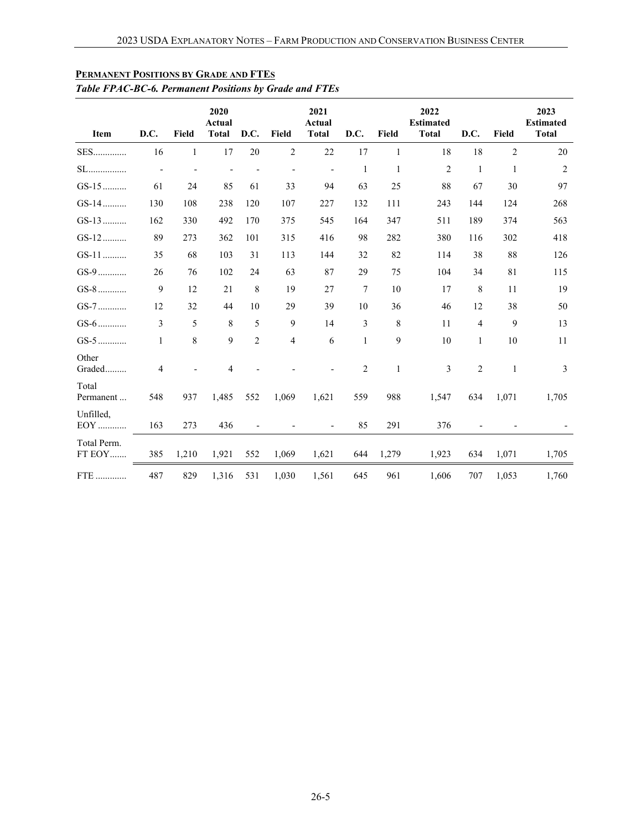| Item                  | D.C.           | Field        | 2020<br>Actual<br><b>Total</b> | D.C.           | Field          | 2021<br>Actual<br><b>Total</b> | D.C.           | Field            | 2022<br><b>Estimated</b><br><b>Total</b> | D.C.           | Field          | 2023<br><b>Estimated</b><br><b>Total</b> |
|-----------------------|----------------|--------------|--------------------------------|----------------|----------------|--------------------------------|----------------|------------------|------------------------------------------|----------------|----------------|------------------------------------------|
| <b>SES</b>            | 16             | $\mathbf{1}$ | 17                             | 20             | $\overline{2}$ | 22                             | 17             | $\mathbf{1}$     | 18                                       | 18             | $\overline{2}$ | 20                                       |
| $SL$                  |                |              |                                |                |                | $\qquad \qquad \blacksquare$   | $\mathbf{1}$   | $\mathbf{1}$     | $\mathfrak{2}$                           | $\mathbf{1}$   | $\mathbf{1}$   | $\overline{2}$                           |
| $GS-15$               | 61             | 24           | 85                             | 61             | 33             | 94                             | 63             | 25               | 88                                       | 67             | 30             | 97                                       |
| $GS-14$               | 130            | 108          | 238                            | 120            | 107            | 227                            | 132            | 111              | 243                                      | 144            | 124            | 268                                      |
| $GS-13$               | 162            | 330          | 492                            | 170            | 375            | 545                            | 164            | 347              | 511                                      | 189            | 374            | 563                                      |
| $GS-12$               | 89             | 273          | 362                            | 101            | 315            | 416                            | 98             | 282              | 380                                      | 116            | 302            | 418                                      |
| GS-11                 | 35             | 68           | 103                            | 31             | 113            | 144                            | 32             | 82               | 114                                      | 38             | 88             | 126                                      |
| $GS-9$                | 26             | 76           | 102                            | 24             | 63             | 87                             | 29             | 75               | 104                                      | 34             | 81             | 115                                      |
| $GS-8$                | 9              | 12           | 21                             | 8              | 19             | 27                             | $\tau$         | 10               | 17                                       | 8              | 11             | 19                                       |
| $GS-7$                | 12             | 32           | 44                             | 10             | 29             | 39                             | 10             | 36               | 46                                       | 12             | 38             | 50                                       |
| $GS-6$                | 3              | 5            | $\,8\,$                        | 5              | 9              | 14                             | 3              | 8                | 11                                       | 4              | 9              | 13                                       |
| $GS-5$                | $\mathbf{1}$   | 8            | 9                              | $\overline{2}$ | 4              | 6                              | $\mathbf{1}$   | $\boldsymbol{9}$ | $10\,$                                   | $\mathbf{1}$   | 10             | 11                                       |
| Other<br>Graded       | $\overline{4}$ |              | $\overline{4}$                 |                |                |                                | $\overline{2}$ | $\,1\,$          | 3                                        | $\overline{2}$ | $\mathbf{1}$   | 3                                        |
| Total<br>Permanent    | 548            | 937          | 1,485                          | 552            | 1,069          | 1,621                          | 559            | 988              | 1,547                                    | 634            | 1,071          | 1,705                                    |
| Unfilled,<br>EOY      | 163            | 273          | 436                            |                |                |                                | 85             | 291              | 376                                      |                |                |                                          |
| Total Perm.<br>FT EOY | 385            | 1,210        | 1,921                          | 552            | 1,069          | 1,621                          | 644            | 1,279            | 1,923                                    | 634            | 1,071          | 1,705                                    |
| FTE                   | 487            | 829          | 1,316                          | 531            | 1,030          | 1,561                          | 645            | 961              | 1,606                                    | 707            | 1,053          | 1,760                                    |

# <span id="page-4-0"></span>**PERMANENT POSITIONS BY GRADE AND FTES**

# *Table FPAC-BC-6. Permanent Positions by Grade and FTEs*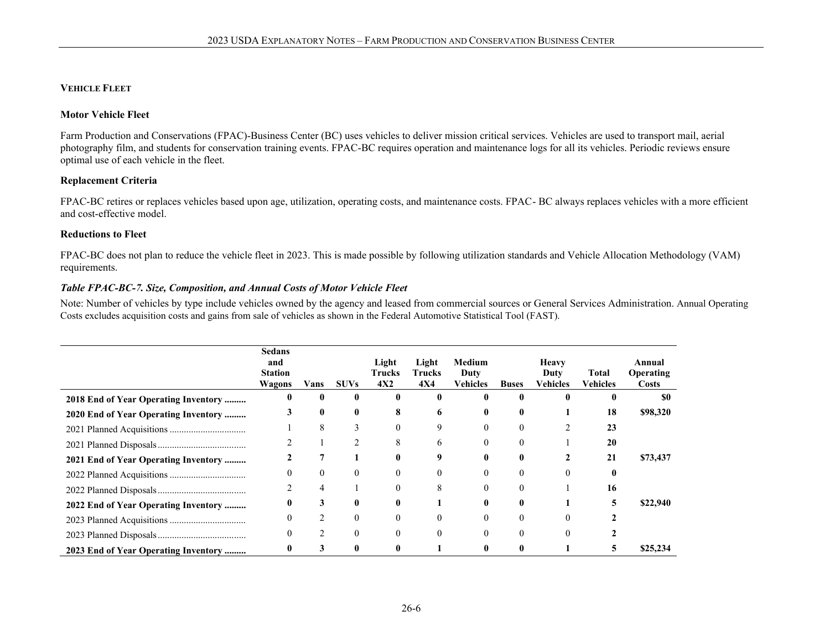#### **VEHICLE FLEET**

#### **Motor Vehicle Fleet**

Farm Production and Conservations (FPAC)-Business Center (BC) uses vehicles to deliver mission critical services. Vehicles are used to transport mail, aerial photography film, and students for conservation training events. FPAC-BC requires operation and maintenance logs for all its vehicles. Periodic reviews ensure optimal use of each vehicle in the fleet.

#### **Replacement Criteria**

FPAC-BC retires or replaces vehicles based upon age, utilization, operating costs, and maintenance costs. FPAC- BC always replaces vehicles with a more efficient and cost-effective model.

#### **Reductions to Fleet**

FPAC-BC does not plan to reduce the vehicle fleet in 2023. This is made possible by following utilization standards and Vehicle Allocation Methodology (VAM) requirements.

#### <span id="page-5-0"></span>*Table FPAC-BC-7. Size, Composition, and Annual Costs of Motor Vehicle Fleet*

Note: Number of vehicles by type include vehicles owned by the agency and leased from commercial sources or General Services Administration. Annual Operating Costs excludes acquisition costs and gains from sale of vehicles as shown in the Federal Automotive Statistical Tool (FAST).

|                                      | Sedans<br>and<br><b>Station</b><br>Wagons | Vans | <b>SUVs</b> | Light<br>Trucks<br>4X2 | Light<br><b>Trucks</b><br><b>4X4</b> | Medium<br>Duty<br>Vehicles | <b>Buses</b> | Heavy<br>Duty<br>Vehicles | Total<br>Vehicles | Annual<br>Operating<br>Costs |
|--------------------------------------|-------------------------------------------|------|-------------|------------------------|--------------------------------------|----------------------------|--------------|---------------------------|-------------------|------------------------------|
| 2018 End of Year Operating Inventory |                                           | 0    | 0           | 0                      |                                      |                            |              |                           |                   | \$0                          |
| 2020 End of Year Operating Inventory | 3                                         | 0    | 0           | 8                      | 6                                    | 0                          | 0            |                           | 18                | \$98,320                     |
|                                      |                                           | 8    | $\Delta$    | $\theta$               | 9                                    | 0                          | 0            |                           | 23                |                              |
|                                      |                                           |      |             | 8                      | h.                                   | 0                          |              |                           | 20                |                              |
| 2021 End of Year Operating Inventory |                                           |      |             | 0                      |                                      | 0                          | 0            |                           | 21                | \$73,437                     |
|                                      |                                           |      |             | $\theta$               |                                      | 0                          |              |                           |                   |                              |
|                                      |                                           | 4    |             |                        |                                      | 0                          |              |                           | 16                |                              |
| 2022 End of Year Operating Inventory | 0                                         | 3    | 0           | 0                      |                                      | 0                          | 0            |                           | 5                 | \$22,940                     |
|                                      |                                           |      |             |                        |                                      | 0                          |              |                           |                   |                              |
|                                      |                                           | ◠    |             |                        |                                      | 0                          |              |                           |                   |                              |
| 2023 End of Year Operating Inventory | 0                                         | 3    | 0           | 0                      |                                      | 0                          | 0            |                           |                   | \$25,234                     |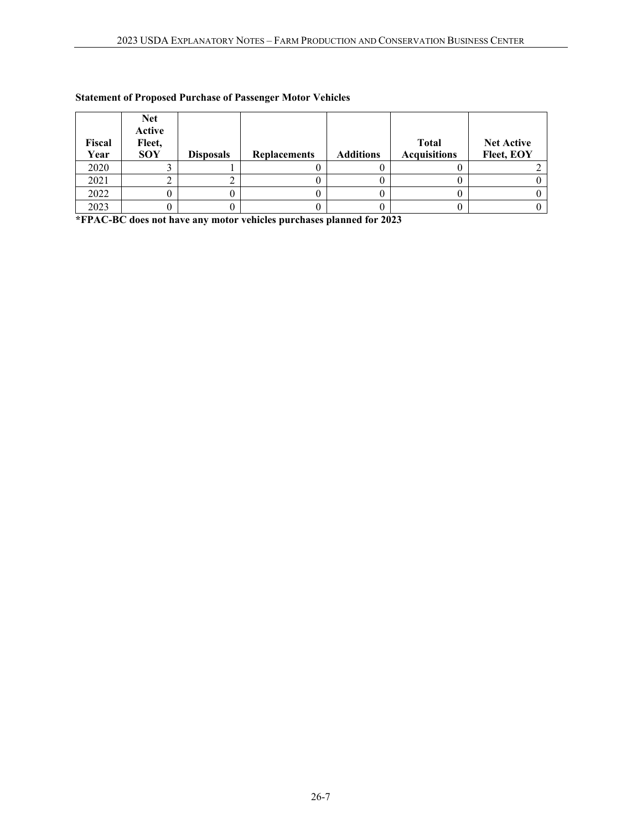| Fiscal<br>Year | <b>Net</b><br>Active<br>Fleet,<br><b>SOY</b> | <b>Disposals</b> | <b>Replacements</b> | <b>Additions</b> | <b>Total</b><br><b>Acquisitions</b> | <b>Net Active</b><br>Fleet, EOY |
|----------------|----------------------------------------------|------------------|---------------------|------------------|-------------------------------------|---------------------------------|
| 2020           |                                              |                  |                     |                  |                                     |                                 |
| 2021           |                                              |                  |                     |                  |                                     |                                 |
| 2022           |                                              |                  |                     |                  |                                     |                                 |
| 2023           |                                              |                  |                     |                  |                                     |                                 |

# **Statement of Proposed Purchase of Passenger Motor Vehicles**

**\*FPAC-BC does not have any motor vehicles purchases planned for 2023**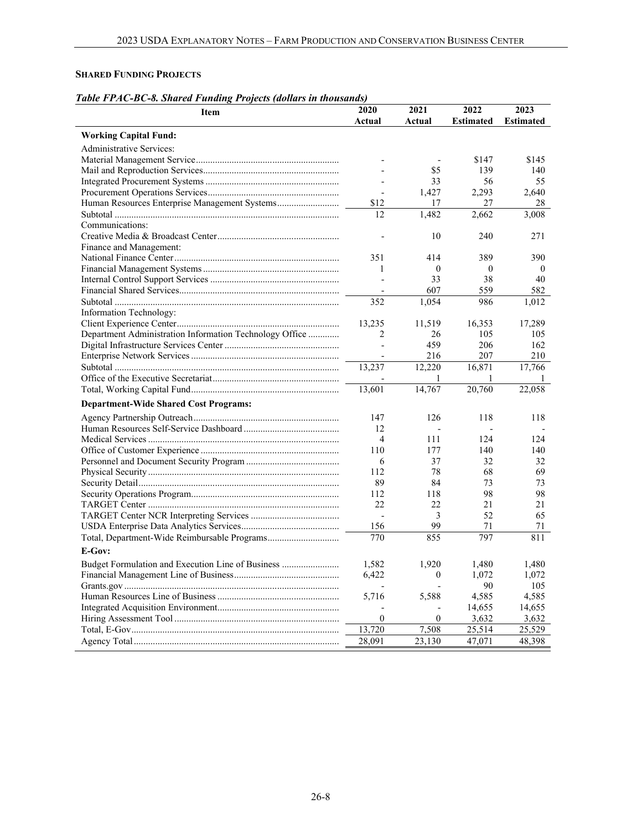## <span id="page-7-0"></span>**SHARED FUNDING PROJECTS**

# *Table FPAC-BC-8. Shared Funding Projects (dollars in thousands)*

| Actual<br>Actual<br><b>Estimated</b><br><b>Estimated</b><br><b>Working Capital Fund:</b><br><b>Administrative Services:</b><br>\$145<br>\$147<br>\$5<br>139<br>140<br>56<br>33<br>55<br>1,427<br>2,293<br>2,640<br>\$12<br>17<br>27<br>28<br>12<br>1,482<br>2,662<br>3,008<br>Communications:<br>10<br>240<br>271<br>Finance and Management:<br>351<br>414<br>389<br>390<br>$\theta$<br>$\mathbf{0}$<br>1<br>$\theta$<br>38<br>33<br>40<br>607<br>559<br>582<br>$\overline{a}$<br>986<br>352<br>1,054<br>1,012<br>Information Technology:<br>13,235<br>11,519<br>16,353<br>17,289<br>Department Administration Information Technology Office<br>2<br>26<br>105<br>105<br>459<br>206<br>162<br>$\overline{a}$<br>216<br>207<br>210<br>$\overline{a}$<br>13,237<br>16,871<br>12,220<br>17,766<br>1<br>1<br>14,767<br>20,760<br>13,601<br>22,058<br><b>Department-Wide Shared Cost Programs:</b><br>126<br>147<br>118<br>118<br>12<br>$\overline{a}$<br>4<br>124<br>111<br>124<br>110<br>177<br>140<br>140<br>6<br>37<br>32<br>32<br>69<br>112<br>78<br>68<br>89<br>84<br>73<br>73<br>112<br>98<br>98<br>118<br>22<br>21<br>21<br>22<br>3<br>52<br>65<br>$\overline{a}$<br>99<br>156<br>71<br>71<br>770<br>797<br>811<br>855<br>E-Gov:<br>Budget Formulation and Execution Line of Business<br>1,582<br>1,920<br>1,480<br>1,480<br>6,422<br>1,072<br>$\mathbf{0}$<br>1,072<br>90<br>105<br>$\overline{a}$<br>5,716<br>5,588<br>4,585<br>4,585<br>14,655<br>14,655 | Item | 2020             | 2021             | 2022  | 2023  |
|----------------------------------------------------------------------------------------------------------------------------------------------------------------------------------------------------------------------------------------------------------------------------------------------------------------------------------------------------------------------------------------------------------------------------------------------------------------------------------------------------------------------------------------------------------------------------------------------------------------------------------------------------------------------------------------------------------------------------------------------------------------------------------------------------------------------------------------------------------------------------------------------------------------------------------------------------------------------------------------------------------------------------------------------------------------------------------------------------------------------------------------------------------------------------------------------------------------------------------------------------------------------------------------------------------------------------------------------------------------------------------------------------------------------------------------------------------------|------|------------------|------------------|-------|-------|
|                                                                                                                                                                                                                                                                                                                                                                                                                                                                                                                                                                                                                                                                                                                                                                                                                                                                                                                                                                                                                                                                                                                                                                                                                                                                                                                                                                                                                                                                |      |                  |                  |       |       |
|                                                                                                                                                                                                                                                                                                                                                                                                                                                                                                                                                                                                                                                                                                                                                                                                                                                                                                                                                                                                                                                                                                                                                                                                                                                                                                                                                                                                                                                                |      |                  |                  |       |       |
|                                                                                                                                                                                                                                                                                                                                                                                                                                                                                                                                                                                                                                                                                                                                                                                                                                                                                                                                                                                                                                                                                                                                                                                                                                                                                                                                                                                                                                                                |      |                  |                  |       |       |
|                                                                                                                                                                                                                                                                                                                                                                                                                                                                                                                                                                                                                                                                                                                                                                                                                                                                                                                                                                                                                                                                                                                                                                                                                                                                                                                                                                                                                                                                |      |                  |                  |       |       |
|                                                                                                                                                                                                                                                                                                                                                                                                                                                                                                                                                                                                                                                                                                                                                                                                                                                                                                                                                                                                                                                                                                                                                                                                                                                                                                                                                                                                                                                                |      |                  |                  |       |       |
|                                                                                                                                                                                                                                                                                                                                                                                                                                                                                                                                                                                                                                                                                                                                                                                                                                                                                                                                                                                                                                                                                                                                                                                                                                                                                                                                                                                                                                                                |      |                  |                  |       |       |
|                                                                                                                                                                                                                                                                                                                                                                                                                                                                                                                                                                                                                                                                                                                                                                                                                                                                                                                                                                                                                                                                                                                                                                                                                                                                                                                                                                                                                                                                |      |                  |                  |       |       |
|                                                                                                                                                                                                                                                                                                                                                                                                                                                                                                                                                                                                                                                                                                                                                                                                                                                                                                                                                                                                                                                                                                                                                                                                                                                                                                                                                                                                                                                                |      |                  |                  |       |       |
|                                                                                                                                                                                                                                                                                                                                                                                                                                                                                                                                                                                                                                                                                                                                                                                                                                                                                                                                                                                                                                                                                                                                                                                                                                                                                                                                                                                                                                                                |      |                  |                  |       |       |
|                                                                                                                                                                                                                                                                                                                                                                                                                                                                                                                                                                                                                                                                                                                                                                                                                                                                                                                                                                                                                                                                                                                                                                                                                                                                                                                                                                                                                                                                |      |                  |                  |       |       |
|                                                                                                                                                                                                                                                                                                                                                                                                                                                                                                                                                                                                                                                                                                                                                                                                                                                                                                                                                                                                                                                                                                                                                                                                                                                                                                                                                                                                                                                                |      |                  |                  |       |       |
|                                                                                                                                                                                                                                                                                                                                                                                                                                                                                                                                                                                                                                                                                                                                                                                                                                                                                                                                                                                                                                                                                                                                                                                                                                                                                                                                                                                                                                                                |      |                  |                  |       |       |
|                                                                                                                                                                                                                                                                                                                                                                                                                                                                                                                                                                                                                                                                                                                                                                                                                                                                                                                                                                                                                                                                                                                                                                                                                                                                                                                                                                                                                                                                |      |                  |                  |       |       |
|                                                                                                                                                                                                                                                                                                                                                                                                                                                                                                                                                                                                                                                                                                                                                                                                                                                                                                                                                                                                                                                                                                                                                                                                                                                                                                                                                                                                                                                                |      |                  |                  |       |       |
|                                                                                                                                                                                                                                                                                                                                                                                                                                                                                                                                                                                                                                                                                                                                                                                                                                                                                                                                                                                                                                                                                                                                                                                                                                                                                                                                                                                                                                                                |      |                  |                  |       |       |
|                                                                                                                                                                                                                                                                                                                                                                                                                                                                                                                                                                                                                                                                                                                                                                                                                                                                                                                                                                                                                                                                                                                                                                                                                                                                                                                                                                                                                                                                |      |                  |                  |       |       |
|                                                                                                                                                                                                                                                                                                                                                                                                                                                                                                                                                                                                                                                                                                                                                                                                                                                                                                                                                                                                                                                                                                                                                                                                                                                                                                                                                                                                                                                                |      |                  |                  |       |       |
|                                                                                                                                                                                                                                                                                                                                                                                                                                                                                                                                                                                                                                                                                                                                                                                                                                                                                                                                                                                                                                                                                                                                                                                                                                                                                                                                                                                                                                                                |      |                  |                  |       |       |
|                                                                                                                                                                                                                                                                                                                                                                                                                                                                                                                                                                                                                                                                                                                                                                                                                                                                                                                                                                                                                                                                                                                                                                                                                                                                                                                                                                                                                                                                |      |                  |                  |       |       |
|                                                                                                                                                                                                                                                                                                                                                                                                                                                                                                                                                                                                                                                                                                                                                                                                                                                                                                                                                                                                                                                                                                                                                                                                                                                                                                                                                                                                                                                                |      |                  |                  |       |       |
|                                                                                                                                                                                                                                                                                                                                                                                                                                                                                                                                                                                                                                                                                                                                                                                                                                                                                                                                                                                                                                                                                                                                                                                                                                                                                                                                                                                                                                                                |      |                  |                  |       |       |
|                                                                                                                                                                                                                                                                                                                                                                                                                                                                                                                                                                                                                                                                                                                                                                                                                                                                                                                                                                                                                                                                                                                                                                                                                                                                                                                                                                                                                                                                |      |                  |                  |       |       |
|                                                                                                                                                                                                                                                                                                                                                                                                                                                                                                                                                                                                                                                                                                                                                                                                                                                                                                                                                                                                                                                                                                                                                                                                                                                                                                                                                                                                                                                                |      |                  |                  |       |       |
|                                                                                                                                                                                                                                                                                                                                                                                                                                                                                                                                                                                                                                                                                                                                                                                                                                                                                                                                                                                                                                                                                                                                                                                                                                                                                                                                                                                                                                                                |      |                  |                  |       |       |
|                                                                                                                                                                                                                                                                                                                                                                                                                                                                                                                                                                                                                                                                                                                                                                                                                                                                                                                                                                                                                                                                                                                                                                                                                                                                                                                                                                                                                                                                |      |                  |                  |       |       |
|                                                                                                                                                                                                                                                                                                                                                                                                                                                                                                                                                                                                                                                                                                                                                                                                                                                                                                                                                                                                                                                                                                                                                                                                                                                                                                                                                                                                                                                                |      |                  |                  |       |       |
|                                                                                                                                                                                                                                                                                                                                                                                                                                                                                                                                                                                                                                                                                                                                                                                                                                                                                                                                                                                                                                                                                                                                                                                                                                                                                                                                                                                                                                                                |      |                  |                  |       |       |
|                                                                                                                                                                                                                                                                                                                                                                                                                                                                                                                                                                                                                                                                                                                                                                                                                                                                                                                                                                                                                                                                                                                                                                                                                                                                                                                                                                                                                                                                |      |                  |                  |       |       |
|                                                                                                                                                                                                                                                                                                                                                                                                                                                                                                                                                                                                                                                                                                                                                                                                                                                                                                                                                                                                                                                                                                                                                                                                                                                                                                                                                                                                                                                                |      |                  |                  |       |       |
|                                                                                                                                                                                                                                                                                                                                                                                                                                                                                                                                                                                                                                                                                                                                                                                                                                                                                                                                                                                                                                                                                                                                                                                                                                                                                                                                                                                                                                                                |      |                  |                  |       |       |
|                                                                                                                                                                                                                                                                                                                                                                                                                                                                                                                                                                                                                                                                                                                                                                                                                                                                                                                                                                                                                                                                                                                                                                                                                                                                                                                                                                                                                                                                |      |                  |                  |       |       |
|                                                                                                                                                                                                                                                                                                                                                                                                                                                                                                                                                                                                                                                                                                                                                                                                                                                                                                                                                                                                                                                                                                                                                                                                                                                                                                                                                                                                                                                                |      |                  |                  |       |       |
|                                                                                                                                                                                                                                                                                                                                                                                                                                                                                                                                                                                                                                                                                                                                                                                                                                                                                                                                                                                                                                                                                                                                                                                                                                                                                                                                                                                                                                                                |      |                  |                  |       |       |
|                                                                                                                                                                                                                                                                                                                                                                                                                                                                                                                                                                                                                                                                                                                                                                                                                                                                                                                                                                                                                                                                                                                                                                                                                                                                                                                                                                                                                                                                |      |                  |                  |       |       |
|                                                                                                                                                                                                                                                                                                                                                                                                                                                                                                                                                                                                                                                                                                                                                                                                                                                                                                                                                                                                                                                                                                                                                                                                                                                                                                                                                                                                                                                                |      |                  |                  |       |       |
|                                                                                                                                                                                                                                                                                                                                                                                                                                                                                                                                                                                                                                                                                                                                                                                                                                                                                                                                                                                                                                                                                                                                                                                                                                                                                                                                                                                                                                                                |      |                  |                  |       |       |
|                                                                                                                                                                                                                                                                                                                                                                                                                                                                                                                                                                                                                                                                                                                                                                                                                                                                                                                                                                                                                                                                                                                                                                                                                                                                                                                                                                                                                                                                |      |                  |                  |       |       |
|                                                                                                                                                                                                                                                                                                                                                                                                                                                                                                                                                                                                                                                                                                                                                                                                                                                                                                                                                                                                                                                                                                                                                                                                                                                                                                                                                                                                                                                                |      |                  |                  |       |       |
|                                                                                                                                                                                                                                                                                                                                                                                                                                                                                                                                                                                                                                                                                                                                                                                                                                                                                                                                                                                                                                                                                                                                                                                                                                                                                                                                                                                                                                                                |      |                  |                  |       |       |
|                                                                                                                                                                                                                                                                                                                                                                                                                                                                                                                                                                                                                                                                                                                                                                                                                                                                                                                                                                                                                                                                                                                                                                                                                                                                                                                                                                                                                                                                |      |                  |                  |       |       |
|                                                                                                                                                                                                                                                                                                                                                                                                                                                                                                                                                                                                                                                                                                                                                                                                                                                                                                                                                                                                                                                                                                                                                                                                                                                                                                                                                                                                                                                                |      |                  |                  |       |       |
|                                                                                                                                                                                                                                                                                                                                                                                                                                                                                                                                                                                                                                                                                                                                                                                                                                                                                                                                                                                                                                                                                                                                                                                                                                                                                                                                                                                                                                                                |      |                  |                  |       |       |
|                                                                                                                                                                                                                                                                                                                                                                                                                                                                                                                                                                                                                                                                                                                                                                                                                                                                                                                                                                                                                                                                                                                                                                                                                                                                                                                                                                                                                                                                |      |                  |                  |       |       |
|                                                                                                                                                                                                                                                                                                                                                                                                                                                                                                                                                                                                                                                                                                                                                                                                                                                                                                                                                                                                                                                                                                                                                                                                                                                                                                                                                                                                                                                                |      |                  |                  |       |       |
|                                                                                                                                                                                                                                                                                                                                                                                                                                                                                                                                                                                                                                                                                                                                                                                                                                                                                                                                                                                                                                                                                                                                                                                                                                                                                                                                                                                                                                                                |      |                  |                  |       |       |
|                                                                                                                                                                                                                                                                                                                                                                                                                                                                                                                                                                                                                                                                                                                                                                                                                                                                                                                                                                                                                                                                                                                                                                                                                                                                                                                                                                                                                                                                |      |                  |                  |       |       |
|                                                                                                                                                                                                                                                                                                                                                                                                                                                                                                                                                                                                                                                                                                                                                                                                                                                                                                                                                                                                                                                                                                                                                                                                                                                                                                                                                                                                                                                                |      | $\boldsymbol{0}$ | $\boldsymbol{0}$ | 3,632 | 3,632 |
| 13,720<br>7,508<br>25,514<br>25,529                                                                                                                                                                                                                                                                                                                                                                                                                                                                                                                                                                                                                                                                                                                                                                                                                                                                                                                                                                                                                                                                                                                                                                                                                                                                                                                                                                                                                            |      |                  |                  |       |       |
| 28,091<br>23,130<br>47,071<br>48,398                                                                                                                                                                                                                                                                                                                                                                                                                                                                                                                                                                                                                                                                                                                                                                                                                                                                                                                                                                                                                                                                                                                                                                                                                                                                                                                                                                                                                           |      |                  |                  |       |       |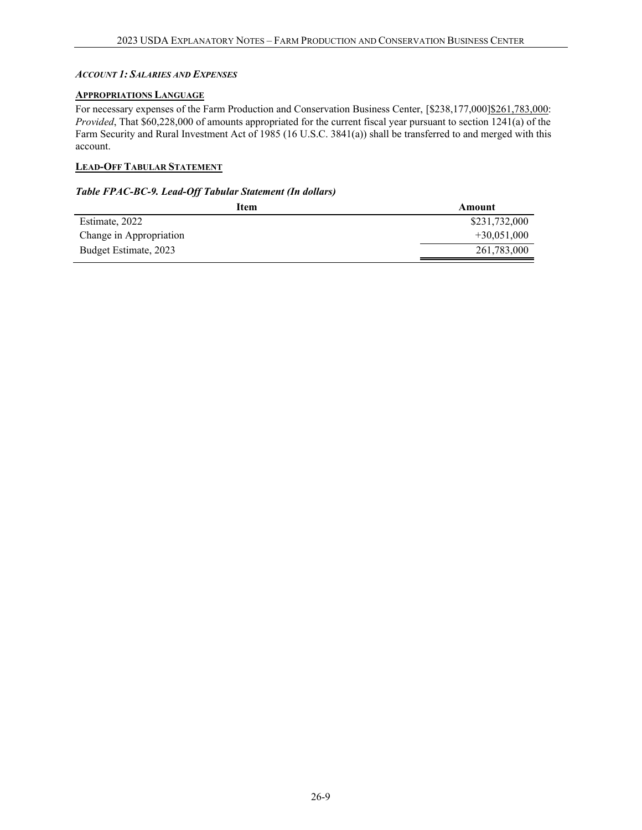### <span id="page-8-0"></span>*ACCOUNT 1:SALARIES AND EXPENSES*

## <span id="page-8-1"></span>**APPROPRIATIONS LANGUAGE**

For necessary expenses of the Farm Production and Conservation Business Center, [\$238,177,000]\$261,783,000: *Provided*, That \$60,228,000 of amounts appropriated for the current fiscal year pursuant to section 1241(a) of the Farm Security and Rural Investment Act of 1985 (16 U.S.C. 3841(a)) shall be transferred to and merged with this account.

## <span id="page-8-2"></span>**LEAD-OFF TABULAR STATEMENT**

#### *Table FPAC-BC-9. Lead-Off Tabular Statement (In dollars)*

| Item                    | Amount        |
|-------------------------|---------------|
| Estimate, 2022          | \$231,732,000 |
| Change in Appropriation | $+30,051,000$ |
| Budget Estimate, 2023   | 261,783,000   |
|                         |               |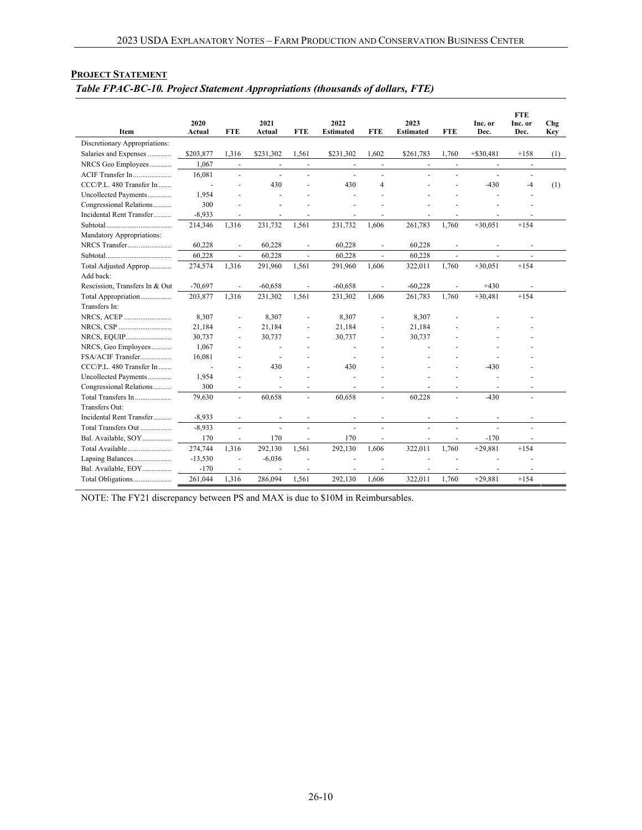|                                | 2020      |                          | 2021                     |                          | 2022             |                          | 2023             |                          | Inc. or                  | <b>FTE</b><br>Inc. or    | Chg        |
|--------------------------------|-----------|--------------------------|--------------------------|--------------------------|------------------|--------------------------|------------------|--------------------------|--------------------------|--------------------------|------------|
| <b>Item</b>                    | Actual    | <b>FTE</b>               | Actual                   | <b>FTE</b>               | <b>Estimated</b> | <b>FTE</b>               | <b>Estimated</b> | <b>FTE</b>               | Dec.                     | Dec.                     | <b>Key</b> |
| Discretionary Appropriations:  |           |                          |                          |                          |                  |                          |                  |                          |                          |                          |            |
| Salaries and Expenses          | \$203,877 | 1.316                    | \$231,302                | 1.561                    | \$231,302        | 1.602                    | \$261,783        | 1.760                    | $+ $30,481$              | $+158$                   | (1)        |
| NRCS Geo Employees             | 1.067     | $\overline{\phantom{a}}$ | $\overline{\phantom{a}}$ | $\blacksquare$           | $\overline{a}$   | $\overline{\phantom{a}}$ | $\blacksquare$   | $\blacksquare$           | ä,                       | $\overline{\phantom{a}}$ |            |
| ACIF Transfer In               | 16,081    | $\overline{\phantom{a}}$ | $\blacksquare$           | $\overline{a}$           | $\blacksquare$   | $\blacksquare$           |                  | $\overline{a}$           | $\overline{a}$           | $\blacksquare$           |            |
| CCC/P.L. 480 Transfer In       |           | $\overline{a}$           | 430                      |                          | 430              | $\overline{4}$           |                  |                          | $-430$                   | $-4$                     | (1)        |
| Uncollected Payments           | 1,954     | $\overline{a}$           |                          |                          |                  |                          |                  |                          |                          |                          |            |
| Congressional Relations        | 300       | ÷,                       |                          |                          |                  |                          |                  |                          |                          |                          |            |
| Incidental Rent Transfer       | $-8,933$  | $\sim$                   | $\overline{\phantom{a}}$ | $\blacksquare$           | $\blacksquare$   | $\blacksquare$           |                  |                          | $\overline{\phantom{a}}$ |                          |            |
|                                | 214,346   | 1,316                    | 231,732                  | 1,561                    | 231,732          | 1,606                    | 261,783          | 1,760                    | $+30,051$                | $+154$                   |            |
| Mandatory Appropriations:      |           |                          |                          |                          |                  |                          |                  |                          |                          |                          |            |
| NRCS Transfer                  | 60,228    | $\overline{\phantom{a}}$ | 60,228                   | $\overline{\phantom{a}}$ | 60,228           | $\overline{\phantom{a}}$ | 60,228           | $\overline{\phantom{a}}$ | $\overline{\phantom{a}}$ | $\overline{\phantom{a}}$ |            |
|                                | 60,228    | $\overline{\phantom{a}}$ | 60,228                   | $\blacksquare$           | 60,228           | $\omega$                 | 60,228           | $\blacksquare$           | ä,                       | $\sim$                   |            |
| Total Adjusted Approp          | 274,574   | 1,316                    | 291,960                  | 1,561                    | 291,960          | 1,606                    | 322,011          | 1,760                    | $+30,051$                | $+154$                   |            |
| Add back:                      |           |                          |                          |                          |                  |                          |                  |                          |                          |                          |            |
| Rescission, Transfers In & Out | $-70,697$ | $\overline{\phantom{a}}$ | $-60,658$                | $\blacksquare$           | $-60,658$        | $\blacksquare$           | $-60,228$        | $\blacksquare$           | $+430$                   | $\overline{\phantom{a}}$ |            |
| Total Appropriation            | 203,877   | 1,316                    | 231,302                  | 1,561                    | 231,302          | 1.606                    | 261,783          | 1.760                    | $+30,481$                | $+154$                   |            |
| Transfers In:                  |           |                          |                          |                          |                  |                          |                  |                          |                          |                          |            |
| NRCS, ACEP                     | 8,307     | $\sim$                   | 8,307                    | ÷.                       | 8,307            |                          | 8,307            |                          |                          |                          |            |
|                                | 21,184    | $\sim$                   | 21,184                   | $\overline{a}$           | 21,184           |                          | 21,184           |                          |                          |                          |            |
| NRCS, EQUIP                    | 30,737    | $\sim$                   | 30,737                   | $\overline{\phantom{a}}$ | 30,737           | $\overline{\phantom{a}}$ | 30,737           |                          |                          |                          |            |
| NRCS, Geo Employees            | 1,067     |                          |                          |                          |                  |                          |                  |                          |                          |                          |            |
| FSA/ACIF Transfer              | 16,081    |                          |                          |                          |                  |                          |                  |                          |                          |                          |            |
| CCC/P.L. 480 Transfer In       |           |                          | 430                      |                          | 430              |                          |                  |                          | $-430$                   |                          |            |
| Uncollected Payments           | 1,954     |                          |                          |                          |                  |                          |                  |                          |                          |                          |            |
| Congressional Relations        | 300       | $\overline{a}$           |                          |                          |                  |                          |                  |                          |                          |                          |            |
| Total Transfers In             | 79,630    | $\overline{\phantom{a}}$ | 60,658                   | ÷                        | 60,658           |                          | 60,228           |                          | $-430$                   |                          |            |
| Transfers Out:                 |           |                          |                          |                          |                  |                          |                  |                          |                          |                          |            |
| Incidental Rent Transfer       | $-8,933$  | $\sim$                   |                          |                          |                  |                          |                  |                          |                          |                          |            |
| Total Transfers Out            | $-8.933$  | $\bar{a}$                | ä,                       | ä,                       | ÷.               | ÷.                       |                  |                          |                          |                          |            |
| Bal. Available, SOY            | 170       | $\overline{\phantom{a}}$ | 170                      | $\overline{\phantom{a}}$ | 170              |                          |                  |                          | $-170$                   |                          |            |
| Total Available                | 274,744   | 1,316                    | 292,130                  | 1,561                    | 292,130          | 1,606                    | 322,011          | 1,760                    | $+29,881$                | $+154$                   |            |
| Lapsing Balances               | $-13,530$ | ÷,                       | $-6,036$                 |                          |                  |                          |                  |                          |                          |                          |            |
| Bal. Available, EOY            | $-170$    | $\overline{\phantom{a}}$ |                          |                          |                  |                          |                  |                          |                          |                          |            |
| Total Obligations              | 261,044   | 1,316                    | 286,094                  | 1,561                    | 292,130          | 1,606                    | 322,011          | 1,760                    | $+29,881$                | $+154$                   |            |

## <span id="page-9-0"></span>**PROJECT STATEMENT** *Table FPAC-BC-10. Project Statement Appropriations (thousands of dollars, FTE)*

NOTE: The FY21 discrepancy between PS and MAX is due to \$10M in Reimbursables.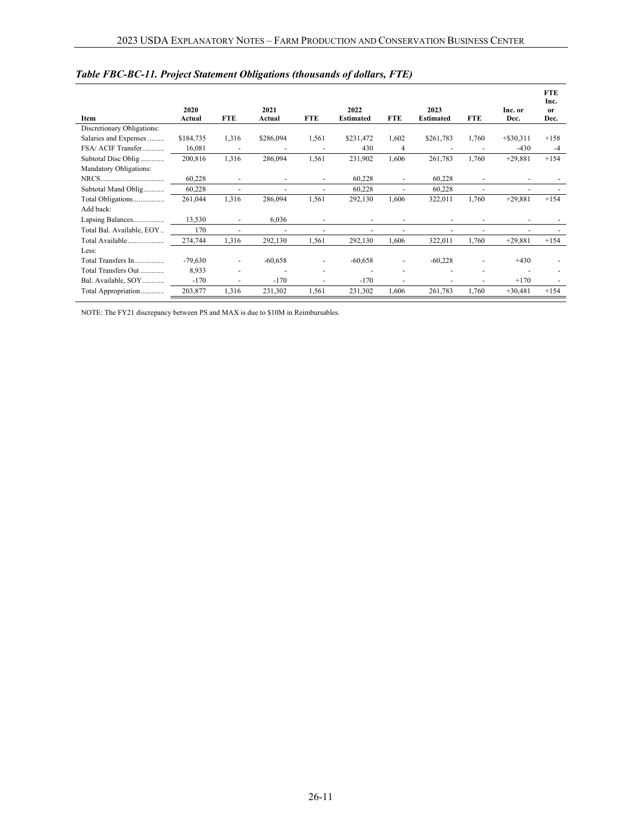|                               |                |            |                |            |                          |                          |                          |            |                 | <b>FTE</b><br>Inc.    |
|-------------------------------|----------------|------------|----------------|------------|--------------------------|--------------------------|--------------------------|------------|-----------------|-----------------------|
| Item                          | 2020<br>Actual | <b>FTE</b> | 2021<br>Actual | <b>FTE</b> | 2022<br><b>Estimated</b> | <b>FTE</b>               | 2023<br><b>Estimated</b> | <b>FTE</b> | Inc. or<br>Dec. | <sub>or</sub><br>Dec. |
| Discretionary Obligations:    |                |            |                |            |                          |                          |                          |            |                 |                       |
| Salaries and Expenses         | \$184,735      | 1,316      | \$286,094      | 1,561      | \$231,472                | 1,602                    | \$261,783                | 1,760      | $+$ \$30,311    | $+158$                |
| FSA/ ACIF Transfer            | 16,081         |            |                |            | 430                      | 4                        |                          |            | $-430$          | $-4$                  |
| Subtotal Disc Oblig           | 200,816        | 1,316      | 286,094        | 1,561      | 231,902                  | 1,606                    | 261,783                  | 1,760      | $+29,881$       | $+154$                |
| <b>Mandatory Obligations:</b> |                |            |                |            |                          |                          |                          |            |                 |                       |
|                               | 60,228         | ٠          |                |            | 60,228                   | ٠                        | 60,228                   |            |                 |                       |
| Subtotal Mand Oblig           | 60,228         | ٠          |                |            | 60,228                   | ٠                        | 60,228                   |            |                 |                       |
| Total Obligations             | 261,044        | 1,316      | 286,094        | 1,561      | 292,130                  | 1,606                    | 322,011                  | 1,760      | $+29,881$       | $+154$                |
| Add back:                     |                |            |                |            |                          |                          |                          |            |                 |                       |
| Lapsing Balances              | 13,530         |            | 6,036          |            |                          |                          |                          |            |                 |                       |
| Total Bal. Available, EOY     | 170            | ٠          |                |            |                          |                          |                          |            |                 |                       |
| Total Available               | 274,744        | 1,316      | 292,130        | 1,561      | 292,130                  | 1,606                    | 322,011                  | 1,760      | $+29,881$       | $+154$                |
| Less:                         |                |            |                |            |                          |                          |                          |            |                 |                       |
| Total Transfers In            | $-79,630$      |            | $-60,658$      |            | $-60,658$                | $\overline{\phantom{a}}$ | $-60,228$                |            | $+430$          |                       |
| Total Transfers Out           | 8,933          |            |                |            |                          |                          |                          |            |                 |                       |
| Bal. Available, SOY           | $-170$         |            | $-170$         |            | $-170$                   |                          |                          |            | $+170$          |                       |
| Total Appropriation           | 203,877        | 1,316      | 231,302        | 1,561      | 231,302                  | 1,606                    | 261,783                  | 1,760      | $+30,481$       | $+154$                |

## *Table FBC-BC-11. Project Statement Obligations (thousands of dollars, FTE)*

NOTE: The FY21 discrepancy between PS and MAX is due to \$10M in Reimbursables.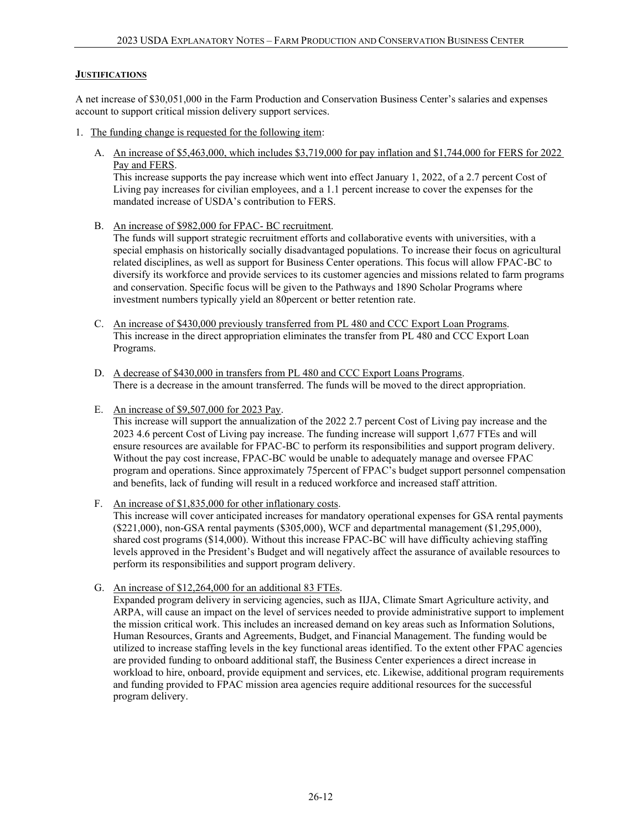#### <span id="page-11-0"></span>**JUSTIFICATIONS**

A net increase of \$30,051,000 in the Farm Production and Conservation Business Center's salaries and expenses account to support critical mission delivery support services.

- 1. The funding change is requested for the following item:
	- A. An increase of \$5,463,000, which includes \$3,719,000 for pay inflation and \$1,744,000 for FERS for 2022 Pay and FERS.

This increase supports the pay increase which went into effect January 1, 2022, of a 2.7 percent Cost of Living pay increases for civilian employees, and a 1.1 percent increase to cover the expenses for the mandated increase of USDA's contribution to FERS.

B. An increase of \$982,000 for FPAC- BC recruitment.

The funds will support strategic recruitment efforts and collaborative events with universities, with a special emphasis on historically socially disadvantaged populations. To increase their focus on agricultural related disciplines, as well as support for Business Center operations. This focus will allow FPAC-BC to diversify its workforce and provide services to its customer agencies and missions related to farm programs and conservation. Specific focus will be given to the Pathways and 1890 Scholar Programs where investment numbers typically yield an 80percent or better retention rate.

- C. An increase of \$430,000 previously transferred from PL 480 and CCC Export Loan Programs. This increase in the direct appropriation eliminates the transfer from PL 480 and CCC Export Loan Programs.
- D. A decrease of \$430,000 in transfers from PL 480 and CCC Export Loans Programs. There is a decrease in the amount transferred. The funds will be moved to the direct appropriation.
- E. An increase of \$9,507,000 for 2023 Pay.

This increase will support the annualization of the 2022 2.7 percent Cost of Living pay increase and the 2023 4.6 percent Cost of Living pay increase. The funding increase will support 1,677 FTEs and will ensure resources are available for FPAC-BC to perform its responsibilities and support program delivery. Without the pay cost increase, FPAC-BC would be unable to adequately manage and oversee FPAC program and operations. Since approximately 75percent of FPAC's budget support personnel compensation and benefits, lack of funding will result in a reduced workforce and increased staff attrition.

F. An increase of \$1,835,000 for other inflationary costs.

This increase will cover anticipated increases for mandatory operational expenses for GSA rental payments (\$221,000), non-GSA rental payments (\$305,000), WCF and departmental management (\$1,295,000), shared cost programs (\$14,000). Without this increase FPAC-BC will have difficulty achieving staffing levels approved in the President's Budget and will negatively affect the assurance of available resources to perform its responsibilities and support program delivery.

G. An increase of \$12,264,000 for an additional 83 FTEs.

Expanded program delivery in servicing agencies, such as IIJA, Climate Smart Agriculture activity, and ARPA, will cause an impact on the level of services needed to provide administrative support to implement the mission critical work. This includes an increased demand on key areas such as Information Solutions, Human Resources, Grants and Agreements, Budget, and Financial Management. The funding would be utilized to increase staffing levels in the key functional areas identified. To the extent other FPAC agencies are provided funding to onboard additional staff, the Business Center experiences a direct increase in workload to hire, onboard, provide equipment and services, etc. Likewise, additional program requirements and funding provided to FPAC mission area agencies require additional resources for the successful program delivery.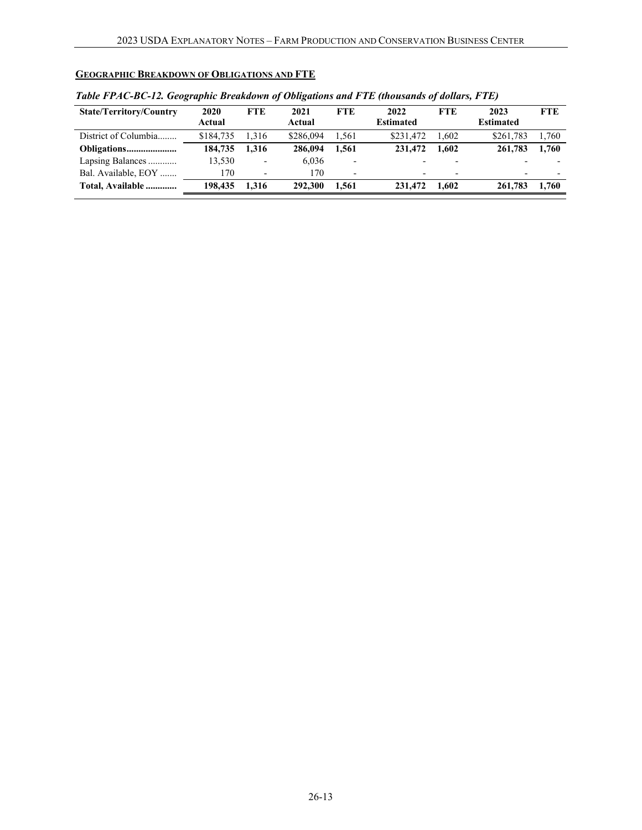# <span id="page-12-0"></span>**GEOGRAPHIC BREAKDOWN OF OBLIGATIONS AND FTE**

| <b>State/Territory/Country</b> | 2020<br>Actual | <b>FTE</b>               | 2021<br>Actual | <b>FTE</b>               | 2022<br><b>Estimated</b> | <b>FTE</b> | 2023<br><b>Estimated</b> | <b>FTE</b>               |
|--------------------------------|----------------|--------------------------|----------------|--------------------------|--------------------------|------------|--------------------------|--------------------------|
| District of Columbia           | \$184,735      | 1.316                    | \$286,094      | 1.561                    | \$231.472                | 1.602      | \$261,783                | 1,760                    |
|                                | 184,735        | .316                     | 286,094        | 1.561                    | 231,472                  | 1.602      | 261,783                  | 1.760                    |
| Lapsing Balances               | 13,530         | $\overline{\phantom{0}}$ | 6.036          | $\overline{\phantom{a}}$ |                          |            | $\overline{\phantom{0}}$ |                          |
| Bal. Available, EOY            | 170            | $\overline{\phantom{0}}$ | 170            | $\overline{\phantom{a}}$ | -                        | -          | $\overline{\phantom{0}}$ | $\overline{\phantom{0}}$ |
| Total, Available               | 198.435        | 1.316                    | 292,300        | 1.561                    | 231,472                  | 1.602      | 261,783                  | 1.760                    |

### *Table FPAC-BC-12. Geographic Breakdown of Obligations and FTE (thousands of dollars, FTE)*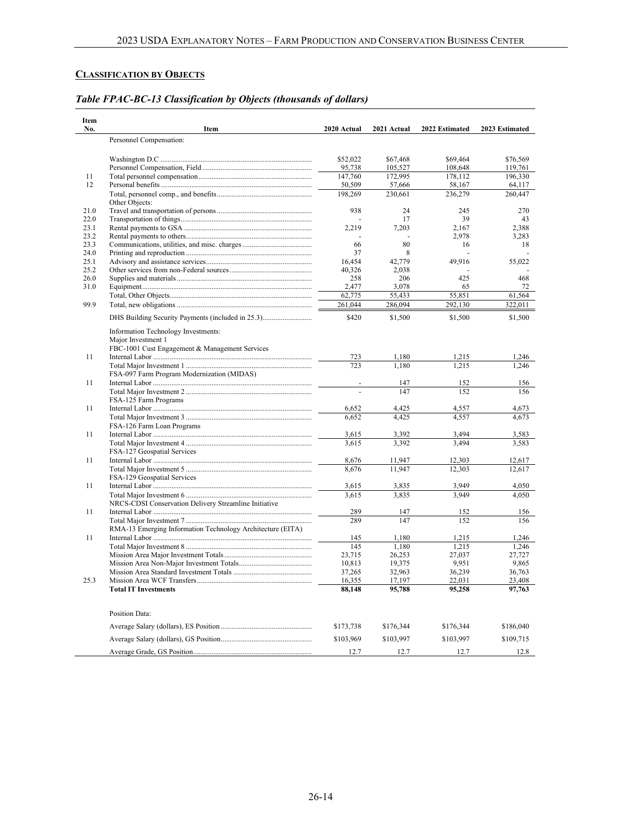### <span id="page-13-0"></span>**CLASSIFICATION BY OBJECTS**

| Item<br>No.  | Item                                                       | 2020 Actual  | 2021 Actual  | 2022 Estimated | 2023 Estimated |
|--------------|------------------------------------------------------------|--------------|--------------|----------------|----------------|
|              | Personnel Compensation:                                    |              |              |                |                |
|              |                                                            |              |              |                |                |
|              |                                                            | \$52,022     | \$67,468     | \$69,464       | \$76,569       |
|              |                                                            | 95,738       | 105,527      | 108,648        | 119,761        |
| 11           |                                                            | 147,760      | 172,995      | 178,112        | 196,330        |
| 12           |                                                            | 50,509       | 57,666       | 58,167         | 64,117         |
|              |                                                            | 198,269      | 230,661      | 236,279        | 260,447        |
| 21.0         | Other Objects:                                             | 938          | 24           | 245            | 270            |
| 22.0         |                                                            |              | 17           | 39             | 43             |
| 23.1         |                                                            | 2,219        | 7,203        | 2,167          | 2,388          |
| 23.2         |                                                            |              |              | 2,978          | 3,283          |
| 23.3         |                                                            | 66           | 80           | 16             | 18             |
| 24.0         |                                                            | 37           | 8            |                |                |
| 25.1         |                                                            | 16,454       | 42,779       | 49,916         | 55,022         |
| 25.2         |                                                            | 40,326       | 2,038        |                |                |
| 26.0<br>31.0 |                                                            | 258<br>2.477 | 206<br>3.078 | 425<br>65      | 468<br>72      |
|              |                                                            | 62,775       | 55,433       | 55,851         | 61,564         |
| 99.9         |                                                            | 261,044      | 286,094      | 292,130        | 322,011        |
|              |                                                            |              |              |                |                |
|              | DHS Building Security Payments (included in 25.3)          | \$420        | \$1,500      | \$1,500        | \$1,500        |
|              | Information Technology Investments:                        |              |              |                |                |
|              | Major Investment 1                                         |              |              |                |                |
|              | FBC-1001 Cust Engagement & Management Services             |              |              |                |                |
| 11           |                                                            | 723          | 1,180        | 1,215          | 1,246          |
|              | FSA-097 Farm Program Modernization (MIDAS)                 | 723          | 1,180        | 1.215          | 1,246          |
| 11           |                                                            |              | 147          | 152            | 156            |
|              |                                                            |              | 147          | 152            | 156            |
|              | FSA-125 Farm Programs                                      |              |              |                |                |
| 11           |                                                            | 6,652        | 4,425        | 4,557          | 4,673          |
|              |                                                            | 6,652        | 4,425        | 4,557          | 4.673          |
|              | FSA-126 Farm Loan Programs                                 |              |              |                |                |
| 11           |                                                            | 3,615        | 3,392        | 3.494          | 3,583          |
|              | FSA-127 Geospatial Services                                | 3.615        | 3.392        | 3.494          | 3.583          |
| 11           |                                                            | 8,676        | 11,947       | 12,303         | 12,617         |
|              |                                                            | 8,676        | 11,947       | 12,303         | 12,617         |
|              | FSA-129 Geospatial Services                                |              |              |                |                |
| 11           |                                                            | 3,615        | 3,835        | 3,949          | 4,050          |
|              |                                                            | 3.615        | 3.835        | 3.949          | 4.050          |
|              | NRCS-CDSI Conservation Delivery Streamline Initiative      |              |              |                |                |
| 11           |                                                            | 289          | 147          | 152            | 156            |
|              |                                                            | 289          | 147          | 152            | 156            |
| 11           | RMA-13 Emerging Information Technology Architecture (EITA) | 145          | 1,180        | 1,215          | 1,246          |
|              |                                                            | 145          | 1,180        | 1,215          | 1,246          |
|              |                                                            | 23,715       | 26,253       | 27,037         | 27,727         |
|              |                                                            | 10,813       | 19,375       | 9,951          | 9,865          |
|              |                                                            | 37,265       | 32,963       | 36,239         | 36,763         |
| 25.3         |                                                            | 16,355       | 17,197       | 22,031         | 23,408         |
|              | <b>Total IT Investments</b>                                | 88,148       | 95,788       | 95,258         | 97,763         |
|              |                                                            |              |              |                |                |
|              | Position Data:                                             |              |              |                |                |
|              |                                                            | \$173,738    | \$176,344    | \$176,344      | \$186,040      |
|              |                                                            | \$103,969    | \$103,997    | \$103,997      | \$109,715      |
|              |                                                            | 12.7         | 12.7         | 12.7           | 12.8           |

# *Table FPAC-BC-13 Classification by Objects (thousands of dollars)*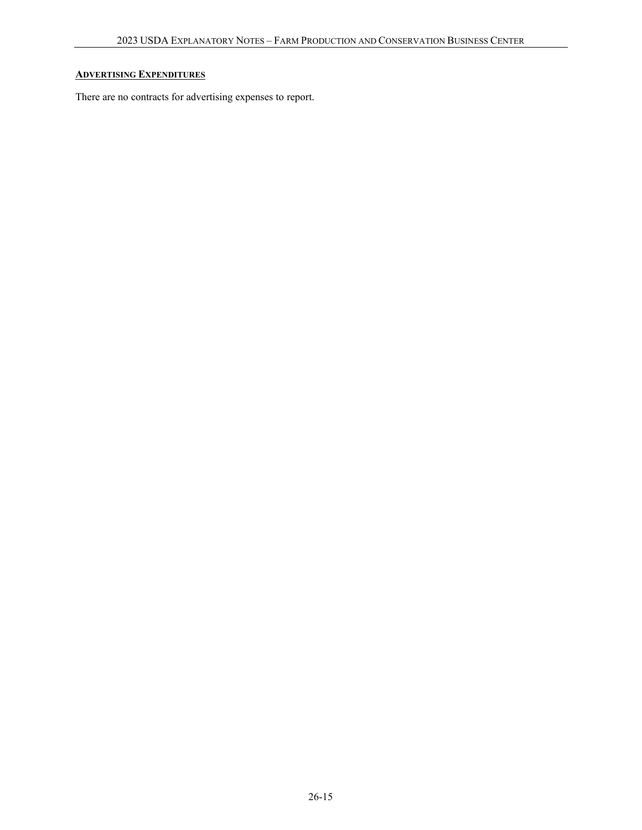## <span id="page-14-0"></span>**ADVERTISING EXPENDITURES**

There are no contracts for advertising expenses to report.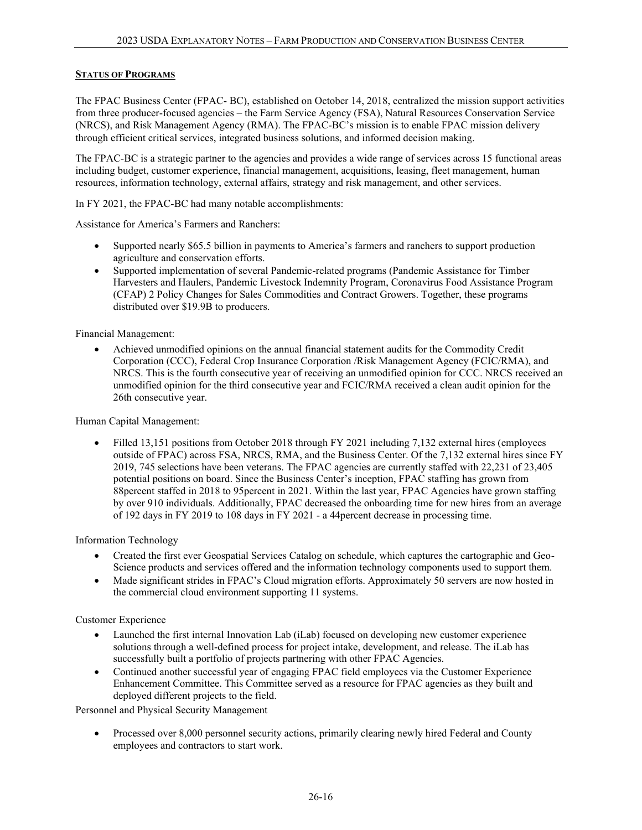### <span id="page-15-0"></span>**STATUS OF PROGRAMS**

The FPAC Business Center (FPAC- BC), established on October 14, 2018, centralized the mission support activities from three producer-focused agencies – the Farm Service Agency (FSA), Natural Resources Conservation Service (NRCS), and Risk Management Agency (RMA). The FPAC-BC's mission is to enable FPAC mission delivery through efficient critical services, integrated business solutions, and informed decision making.

The FPAC-BC is a strategic partner to the agencies and provides a wide range of services across 15 functional areas including budget, customer experience, financial management, acquisitions, leasing, fleet management, human resources, information technology, external affairs, strategy and risk management, and other services.

In FY 2021, the FPAC-BC had many notable accomplishments:

Assistance for America's Farmers and Ranchers:

- Supported nearly \$65.5 billion in payments to America's farmers and ranchers to support production agriculture and conservation efforts.
- · Supported implementation of several Pandemic-related programs (Pandemic Assistance for Timber Harvesters and Haulers, Pandemic Livestock Indemnity Program, Coronavirus Food Assistance Program (CFAP) 2 Policy Changes for Sales Commodities and Contract Growers. Together, these programs distributed over \$19.9B to producers.

Financial Management:

· Achieved unmodified opinions on the annual financial statement audits for the Commodity Credit Corporation (CCC), Federal Crop Insurance Corporation /Risk Management Agency (FCIC/RMA), and NRCS. This is the fourth consecutive year of receiving an unmodified opinion for CCC. NRCS received an unmodified opinion for the third consecutive year and FCIC/RMA received a clean audit opinion for the 26th consecutive year.

Human Capital Management:

• Filled 13,151 positions from October 2018 through FY 2021 including 7,132 external hires (employees outside of FPAC) across FSA, NRCS, RMA, and the Business Center. Of the 7,132 external hires since FY 2019, 745 selections have been veterans. The FPAC agencies are currently staffed with 22,231 of 23,405 potential positions on board. Since the Business Center's inception, FPAC staffing has grown from 88percent staffed in 2018 to 95percent in 2021. Within the last year, FPAC Agencies have grown staffing by over 910 individuals. Additionally, FPAC decreased the onboarding time for new hires from an average of 192 days in FY 2019 to 108 days in FY 2021 - a 44percent decrease in processing time.

Information Technology

- · Created the first ever Geospatial Services Catalog on schedule, which captures the cartographic and Geo-Science products and services offered and the information technology components used to support them.
- Made significant strides in FPAC's Cloud migration efforts. Approximately 50 servers are now hosted in the commercial cloud environment supporting 11 systems.

Customer Experience

- · Launched the first internal Innovation Lab (iLab) focused on developing new customer experience solutions through a well-defined process for project intake, development, and release. The iLab has successfully built a portfolio of projects partnering with other FPAC Agencies.
- · Continued another successful year of engaging FPAC field employees via the Customer Experience Enhancement Committee. This Committee served as a resource for FPAC agencies as they built and deployed different projects to the field.

Personnel and Physical Security Management

Processed over 8,000 personnel security actions, primarily clearing newly hired Federal and County employees and contractors to start work.